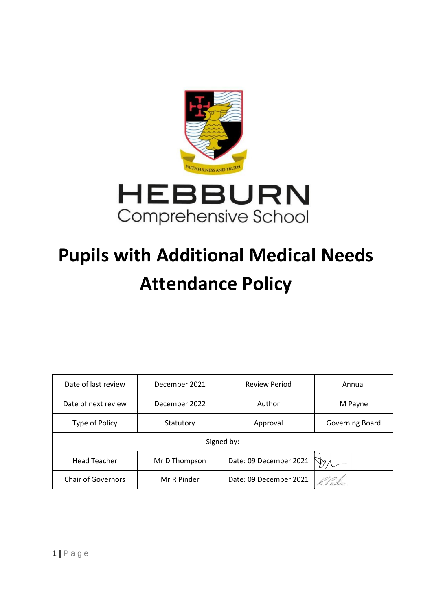

# **Pupils with Additional Medical Needs Attendance Policy**

| Date of last review       | December 2021 | <b>Review Period</b>   | Annual          |
|---------------------------|---------------|------------------------|-----------------|
| Date of next review       | December 2022 | Author                 | M Payne         |
| Type of Policy            | Statutory     | Approval               | Governing Board |
| Signed by:                |               |                        |                 |
| <b>Head Teacher</b>       | Mr D Thompson | Date: 09 December 2021 |                 |
| <b>Chair of Governors</b> | Mr R Pinder   | Date: 09 December 2021 |                 |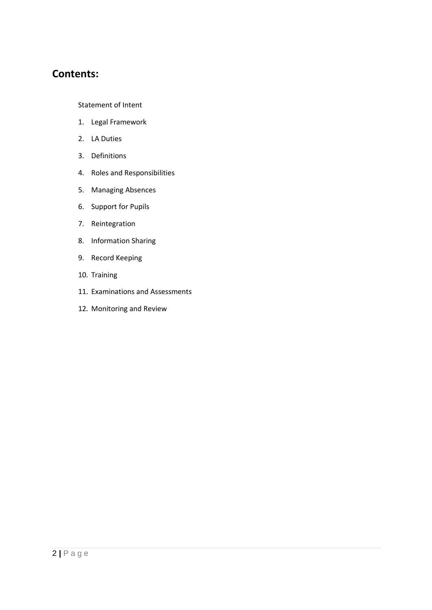# **Contents:**

Statement of Intent

- 1. Legal Framework
- 2. LA Duties
- 3. Definitions
- 4. Roles and Responsibilities
- 5. Managing Absences
- 6. Support for Pupils
- 7. Reintegration
- 8. Information Sharing
- 9. Record Keeping
- 10. Training
- 11. Examinations and Assessments
- 12. Monitoring and Review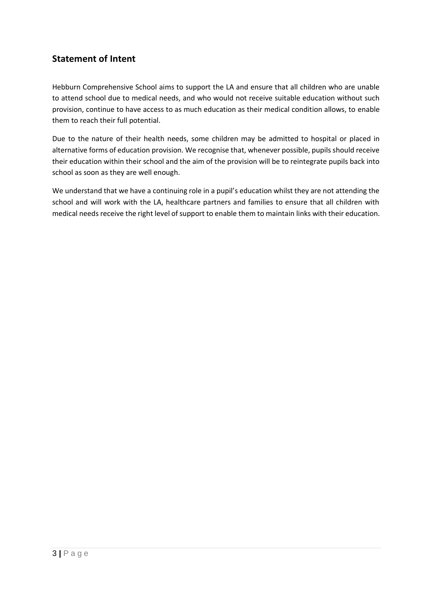# **Statement of Intent**

Hebburn Comprehensive School aims to support the LA and ensure that all children who are unable to attend school due to medical needs, and who would not receive suitable education without such provision, continue to have access to as much education as their medical condition allows, to enable them to reach their full potential.

Due to the nature of their health needs, some children may be admitted to hospital or placed in alternative forms of education provision. We recognise that, whenever possible, pupils should receive their education within their school and the aim of the provision will be to reintegrate pupils back into school as soon as they are well enough.

We understand that we have a continuing role in a pupil's education whilst they are not attending the school and will work with the LA, healthcare partners and families to ensure that all children with medical needs receive the right level of support to enable them to maintain links with their education.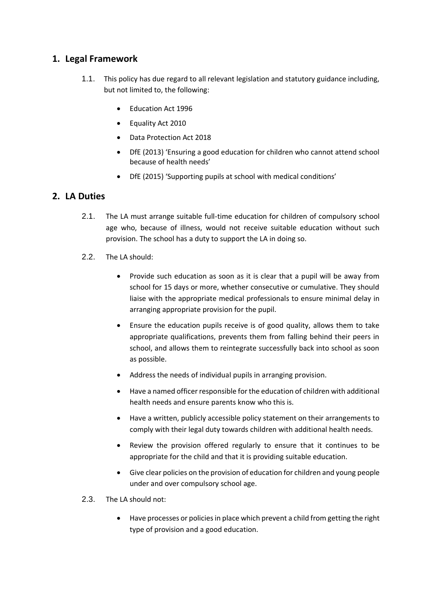#### **1. Legal Framework**

- 1.1. This policy has due regard to all relevant legislation and statutory guidance including, but not limited to, the following:
	- Education Act 1996
	- Equality Act 2010
	- Data Protection Act 2018
	- DfE (2013) 'Ensuring a good education for children who cannot attend school because of health needs'
	- DfE (2015) 'Supporting pupils at school with medical conditions'

### **2. LA Duties**

- 2.1. The LA must arrange suitable full-time education for children of compulsory school age who, because of illness, would not receive suitable education without such provision. The school has a duty to support the LA in doing so.
- 2.2. The LA should:
	- Provide such education as soon as it is clear that a pupil will be away from school for 15 days or more, whether consecutive or cumulative. They should liaise with the appropriate medical professionals to ensure minimal delay in arranging appropriate provision for the pupil.
	- Ensure the education pupils receive is of good quality, allows them to take appropriate qualifications, prevents them from falling behind their peers in school, and allows them to reintegrate successfully back into school as soon as possible.
	- Address the needs of individual pupils in arranging provision.
	- Have a named officer responsible for the education of children with additional health needs and ensure parents know who this is.
	- Have a written, publicly accessible policy statement on their arrangements to comply with their legal duty towards children with additional health needs.
	- Review the provision offered regularly to ensure that it continues to be appropriate for the child and that it is providing suitable education.
	- Give clear policies on the provision of education for children and young people under and over compulsory school age.
- 2.3. The LA should not:
	- Have processes or policies in place which prevent a child from getting the right type of provision and a good education.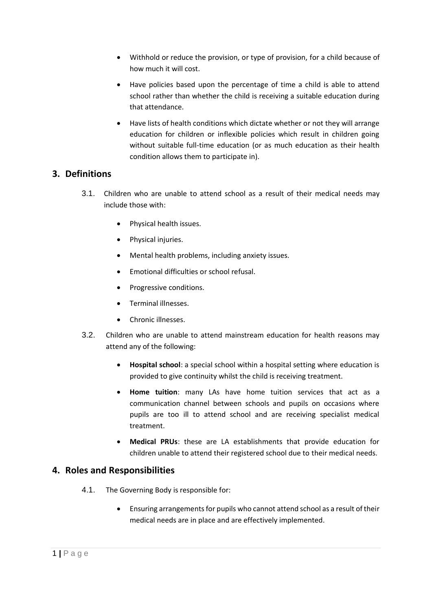- Withhold or reduce the provision, or type of provision, for a child because of how much it will cost.
- Have policies based upon the percentage of time a child is able to attend school rather than whether the child is receiving a suitable education during that attendance.
- Have lists of health conditions which dictate whether or not they will arrange education for children or inflexible policies which result in children going without suitable full-time education (or as much education as their health condition allows them to participate in).

#### **3. Definitions**

- 3.1. Children who are unable to attend school as a result of their medical needs may include those with:
	- Physical health issues.
	- Physical injuries.
	- Mental health problems, including anxiety issues.
	- Emotional difficulties or school refusal.
	- Progressive conditions.
	- Terminal illnesses.
	- Chronic illnesses.
- 3.2. Children who are unable to attend mainstream education for health reasons may attend any of the following:
	- **Hospital school**: a special school within a hospital setting where education is provided to give continuity whilst the child is receiving treatment.
	- **Home tuition**: many LAs have home tuition services that act as a communication channel between schools and pupils on occasions where pupils are too ill to attend school and are receiving specialist medical treatment.
	- **Medical PRUs**: these are LA establishments that provide education for children unable to attend their registered school due to their medical needs.

#### **4. Roles and Responsibilities**

- 4.1. The Governing Body is responsible for:
	- Ensuring arrangements for pupils who cannot attend school as a result of their medical needs are in place and are effectively implemented.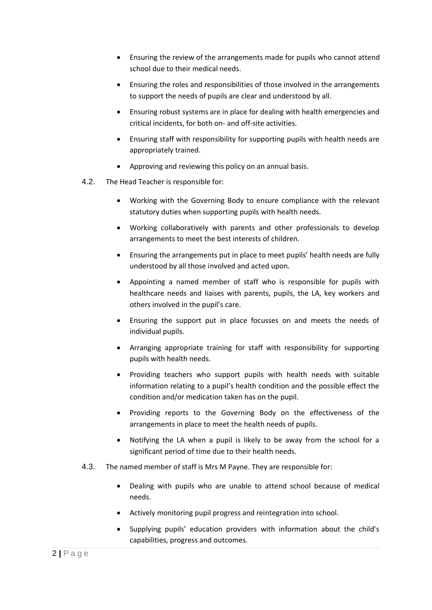- Ensuring the review of the arrangements made for pupils who cannot attend school due to their medical needs.
- Ensuring the roles and responsibilities of those involved in the arrangements to support the needs of pupils are clear and understood by all.
- Ensuring robust systems are in place for dealing with health emergencies and critical incidents, for both on- and off-site activities.
- Ensuring staff with responsibility for supporting pupils with health needs are appropriately trained.
- Approving and reviewing this policy on an annual basis.
- 4.2. The Head Teacher is responsible for:
	- Working with the Governing Body to ensure compliance with the relevant statutory duties when supporting pupils with health needs.
	- Working collaboratively with parents and other professionals to develop arrangements to meet the best interests of children.
	- Ensuring the arrangements put in place to meet pupils' health needs are fully understood by all those involved and acted upon.
	- Appointing a named member of staff who is responsible for pupils with healthcare needs and liaises with parents, pupils, the LA, key workers and others involved in the pupil's care.
	- Ensuring the support put in place focusses on and meets the needs of individual pupils.
	- Arranging appropriate training for staff with responsibility for supporting pupils with health needs.
	- Providing teachers who support pupils with health needs with suitable information relating to a pupil's health condition and the possible effect the condition and/or medication taken has on the pupil.
	- Providing reports to the Governing Body on the effectiveness of the arrangements in place to meet the health needs of pupils.
	- Notifying the LA when a pupil is likely to be away from the school for a significant period of time due to their health needs.
- 4.3. The named member of staff is Mrs M Payne. They are responsible for:
	- Dealing with pupils who are unable to attend school because of medical needs.
	- Actively monitoring pupil progress and reintegration into school.
	- Supplying pupils' education providers with information about the child's capabilities, progress and outcomes.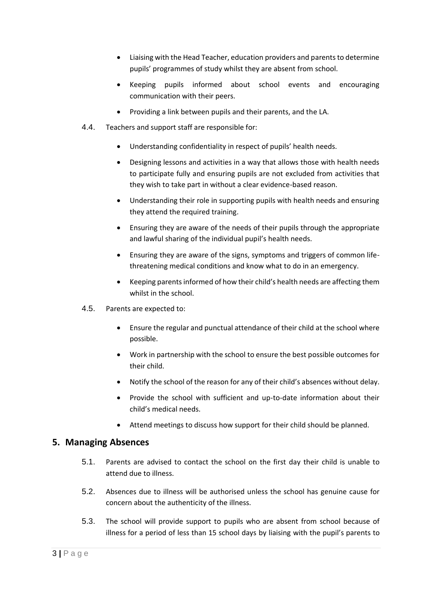- Liaising with the Head Teacher, education providers and parents to determine pupils' programmes of study whilst they are absent from school.
- Keeping pupils informed about school events and encouraging communication with their peers.
- Providing a link between pupils and their parents, and the LA.
- 4.4. Teachers and support staff are responsible for:
	- Understanding confidentiality in respect of pupils' health needs.
	- Designing lessons and activities in a way that allows those with health needs to participate fully and ensuring pupils are not excluded from activities that they wish to take part in without a clear evidence-based reason.
	- Understanding their role in supporting pupils with health needs and ensuring they attend the required training.
	- Ensuring they are aware of the needs of their pupils through the appropriate and lawful sharing of the individual pupil's health needs.
	- Ensuring they are aware of the signs, symptoms and triggers of common lifethreatening medical conditions and know what to do in an emergency.
	- Keeping parents informed of how their child's health needs are affecting them whilst in the school.
- 4.5. Parents are expected to:
	- Ensure the regular and punctual attendance of their child at the school where possible.
	- Work in partnership with the school to ensure the best possible outcomes for their child.
	- Notify the school of the reason for any of their child's absences without delay.
	- Provide the school with sufficient and up-to-date information about their child's medical needs.
	- Attend meetings to discuss how support for their child should be planned.

#### **5. Managing Absences**

- 5.1. Parents are advised to contact the school on the first day their child is unable to attend due to illness.
- 5.2. Absences due to illness will be authorised unless the school has genuine cause for concern about the authenticity of the illness.
- 5.3. The school will provide support to pupils who are absent from school because of illness for a period of less than 15 school days by liaising with the pupil's parents to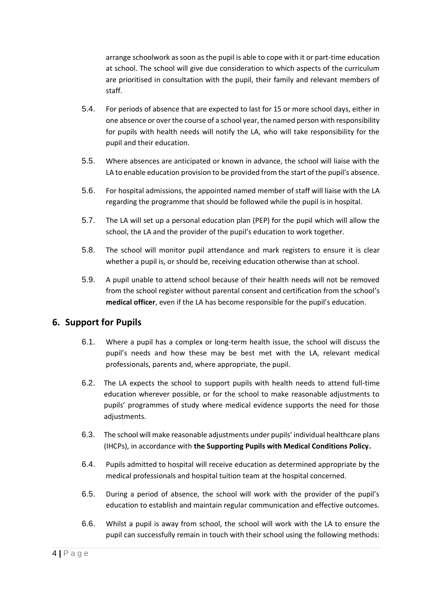arrange schoolwork as soon as the pupil is able to cope with it or part-time education at school. The school will give due consideration to which aspects of the curriculum are prioritised in consultation with the pupil, their family and relevant members of staff.

- 5.4. For periods of absence that are expected to last for 15 or more school days, either in one absence or over the course of a school year, the named person with responsibility for pupils with health needs will notify the LA, who will take responsibility for the pupil and their education.
- 5.5. Where absences are anticipated or known in advance, the school will liaise with the LA to enable education provision to be provided from the start of the pupil's absence.
- 5.6. For hospital admissions, the appointed named member of staff will liaise with the LA regarding the programme that should be followed while the pupil is in hospital.
- 5.7. The LA will set up a personal education plan (PEP) for the pupil which will allow the school, the LA and the provider of the pupil's education to work together.
- 5.8. The school will monitor pupil attendance and mark registers to ensure it is clear whether a pupil is, or should be, receiving education otherwise than at school.
- 5.9. A pupil unable to attend school because of their health needs will not be removed from the school register without parental consent and certification from the school's **medical officer**, even if the LA has become responsible for the pupil's education.

#### **6. Support for Pupils**

- 6.1. Where a pupil has a complex or long-term health issue, the school will discuss the pupil's needs and how these may be best met with the LA, relevant medical professionals, parents and, where appropriate, the pupil.
- 6.2. The LA expects the school to support pupils with health needs to attend full-time education wherever possible, or for the school to make reasonable adjustments to pupils' programmes of study where medical evidence supports the need for those adjustments.
- 6.3. The school will make reasonable adjustments under pupils' individual healthcare plans (IHCPs), in accordance with **the Supporting Pupils with Medical Conditions Policy.**
- 6.4. Pupils admitted to hospital will receive education as determined appropriate by the medical professionals and hospital tuition team at the hospital concerned.
- 6.5. During a period of absence, the school will work with the provider of the pupil's education to establish and maintain regular communication and effective outcomes.
- 6.6. Whilst a pupil is away from school, the school will work with the LA to ensure the pupil can successfully remain in touch with their school using the following methods: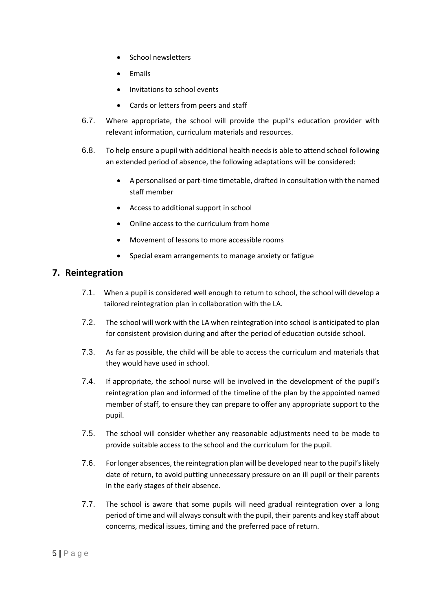- School newsletters
- Emails
- Invitations to school events
- Cards or letters from peers and staff
- 6.7. Where appropriate, the school will provide the pupil's education provider with relevant information, curriculum materials and resources.
- 6.8. To help ensure a pupil with additional health needs is able to attend school following an extended period of absence, the following adaptations will be considered:
	- A personalised or part-time timetable, drafted in consultation with the named staff member
	- Access to additional support in school
	- Online access to the curriculum from home
	- Movement of lessons to more accessible rooms
	- Special exam arrangements to manage anxiety or fatigue

#### **7. Reintegration**

- 7.1. When a pupil is considered well enough to return to school, the school will develop a tailored reintegration plan in collaboration with the LA.
- 7.2. The school will work with the LA when reintegration into school is anticipated to plan for consistent provision during and after the period of education outside school.
- 7.3. As far as possible, the child will be able to access the curriculum and materials that they would have used in school.
- 7.4. If appropriate, the school nurse will be involved in the development of the pupil's reintegration plan and informed of the timeline of the plan by the appointed named member of staff, to ensure they can prepare to offer any appropriate support to the pupil.
- 7.5. The school will consider whether any reasonable adjustments need to be made to provide suitable access to the school and the curriculum for the pupil.
- 7.6. For longer absences, the reintegration plan will be developed near to the pupil's likely date of return, to avoid putting unnecessary pressure on an ill pupil or their parents in the early stages of their absence.
- 7.7. The school is aware that some pupils will need gradual reintegration over a long period of time and will always consult with the pupil, their parents and key staff about concerns, medical issues, timing and the preferred pace of return.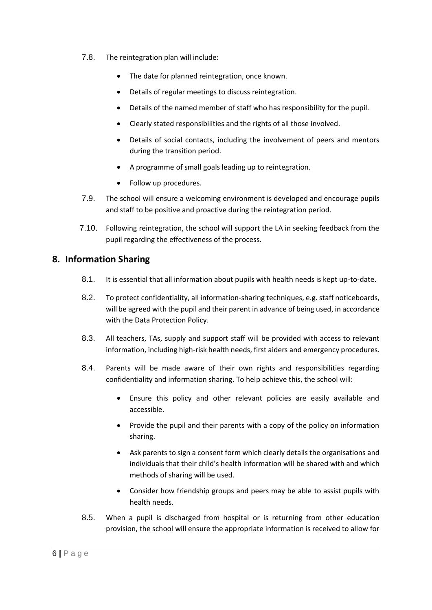- 7.8. The reintegration plan will include:
	- The date for planned reintegration, once known.
	- Details of regular meetings to discuss reintegration.
	- Details of the named member of staff who has responsibility for the pupil.
	- Clearly stated responsibilities and the rights of all those involved.
	- Details of social contacts, including the involvement of peers and mentors during the transition period.
	- A programme of small goals leading up to reintegration.
	- Follow up procedures.
- 7.9. The school will ensure a welcoming environment is developed and encourage pupils and staff to be positive and proactive during the reintegration period.
- 7.10. Following reintegration, the school will support the LA in seeking feedback from the pupil regarding the effectiveness of the process.

#### **8. Information Sharing**

- 8.1. It is essential that all information about pupils with health needs is kept up-to-date.
- 8.2. To protect confidentiality, all information-sharing techniques, e.g. staff noticeboards, will be agreed with the pupil and their parent in advance of being used, in accordance with the Data Protection Policy.
- 8.3. All teachers, TAs, supply and support staff will be provided with access to relevant information, including high-risk health needs, first aiders and emergency procedures.
- 8.4. Parents will be made aware of their own rights and responsibilities regarding confidentiality and information sharing. To help achieve this, the school will:
	- Ensure this policy and other relevant policies are easily available and accessible.
	- Provide the pupil and their parents with a copy of the policy on information sharing.
	- Ask parents to sign a consent form which clearly details the organisations and individuals that their child's health information will be shared with and which methods of sharing will be used.
	- Consider how friendship groups and peers may be able to assist pupils with health needs.
- 8.5. When a pupil is discharged from hospital or is returning from other education provision, the school will ensure the appropriate information is received to allow for